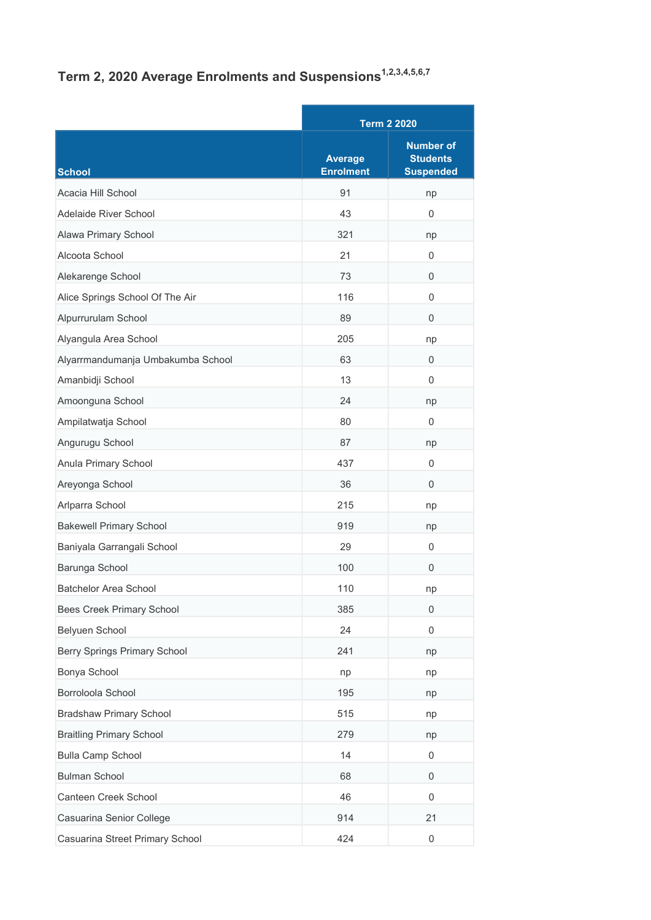## Term 2, 2020 Average Enrolments and Suspensions<sup>1,2,3,4,5,6,7</sup>

|                                   |                                    | <b>Term 2 2020</b>                                      |  |
|-----------------------------------|------------------------------------|---------------------------------------------------------|--|
| School                            | <b>Average</b><br><b>Enrolment</b> | <b>Number of</b><br><b>Students</b><br><b>Suspended</b> |  |
| Acacia Hill School                | 91                                 | np                                                      |  |
| Adelaide River School             | 43                                 | $\Omega$                                                |  |
| Alawa Primary School              | 321                                | np                                                      |  |
| Alcoota School                    | 21                                 | $\Omega$                                                |  |
| Alekarenge School                 | 73                                 | 0                                                       |  |
| Alice Springs School Of The Air   | 116                                | $\mathbf 0$                                             |  |
| Alpurrurulam School               | 89                                 | 0                                                       |  |
| Alyangula Area School             | 205                                | np                                                      |  |
| Alyarrmandumanja Umbakumba School | 63                                 | $\mathbf 0$                                             |  |
| Amanbidji School                  | 13                                 | $\Omega$                                                |  |
| Amoonguna School                  | 24                                 | np                                                      |  |
| Ampilatwatja School               | 80                                 | $\mathbf 0$                                             |  |
| Angurugu School                   | 87                                 | np                                                      |  |
| Anula Primary School              | 437                                | $\mathbf 0$                                             |  |
| Areyonga School                   | 36                                 | $\Omega$                                                |  |
| Arlparra School                   | 215                                | np                                                      |  |
| <b>Bakewell Primary School</b>    | 919                                | np                                                      |  |
| Baniyala Garrangali School        | 29                                 | 0                                                       |  |
| Barunga School                    | 100                                | $\Omega$                                                |  |
| <b>Batchelor Area School</b>      | 110                                | np                                                      |  |
| <b>Bees Creek Primary School</b>  | 385                                | $\boldsymbol{0}$                                        |  |
| Belyuen School                    | 24                                 | 0                                                       |  |
| Berry Springs Primary School      | 241                                | np                                                      |  |
| Bonya School                      | np                                 | np                                                      |  |
| Borroloola School                 | 195                                | np                                                      |  |
| <b>Bradshaw Primary School</b>    | 515                                | np                                                      |  |
| <b>Braitling Primary School</b>   | 279                                | np                                                      |  |
| <b>Bulla Camp School</b>          | 14                                 | 0                                                       |  |
| <b>Bulman School</b>              | 68                                 | $\mathbf 0$                                             |  |
| Canteen Creek School              | 46                                 | 0                                                       |  |
| Casuarina Senior College          | 914                                | 21                                                      |  |
| Casuarina Street Primary School   | 424                                | 0                                                       |  |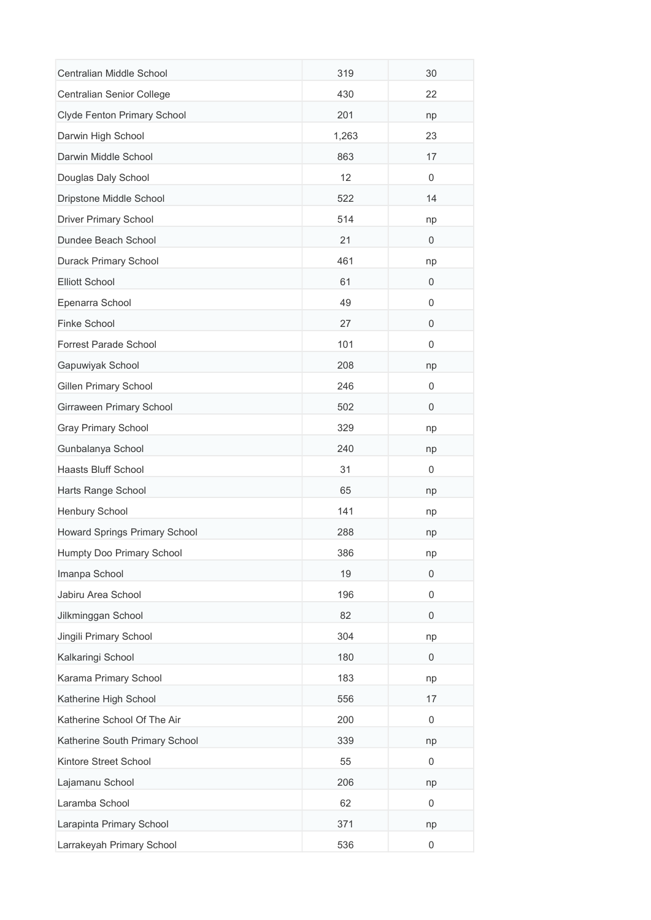| Centralian Middle School       | 319   | 30          |
|--------------------------------|-------|-------------|
| Centralian Senior College      | 430   | 22          |
| Clyde Fenton Primary School    | 201   | np          |
| Darwin High School             | 1,263 | 23          |
| Darwin Middle School           | 863   | 17          |
| Douglas Daly School            | 12    | 0           |
| Dripstone Middle School        | 522   | 14          |
| <b>Driver Primary School</b>   | 514   | np          |
| Dundee Beach School            | 21    | 0           |
| Durack Primary School          | 461   | np          |
| <b>Elliott School</b>          | 61    | $\mathbf 0$ |
| Epenarra School                | 49    | 0           |
| Finke School                   | 27    | 0           |
| Forrest Parade School          | 101   | 0           |
| Gapuwiyak School               | 208   | np          |
| <b>Gillen Primary School</b>   | 246   | 0           |
| Girraween Primary School       | 502   | 0           |
| <b>Gray Primary School</b>     | 329   | np          |
| Gunbalanya School              | 240   | np          |
| Haasts Bluff School            | 31    | 0           |
| Harts Range School             | 65    | np          |
| Henbury School                 | 141   | np          |
| Howard Springs Primary School  | 288   | np          |
| Humpty Doo Primary School      | 386   | np          |
| Imanpa School                  | 19    | $\mathbf 0$ |
| Jabiru Area School             | 196   | 0           |
| Jilkminggan School             | 82    | 0           |
| Jingili Primary School         | 304   | np          |
| Kalkaringi School              | 180   | 0           |
| Karama Primary School          | 183   | np          |
| Katherine High School          | 556   | 17          |
| Katherine School Of The Air    | 200   | 0           |
| Katherine South Primary School | 339   | np          |
| Kintore Street School          | 55    | 0           |
| Lajamanu School                | 206   | np          |
| Laramba School                 | 62    | 0           |
| Larapinta Primary School       | 371   | np          |
| Larrakeyah Primary School      | 536   | 0           |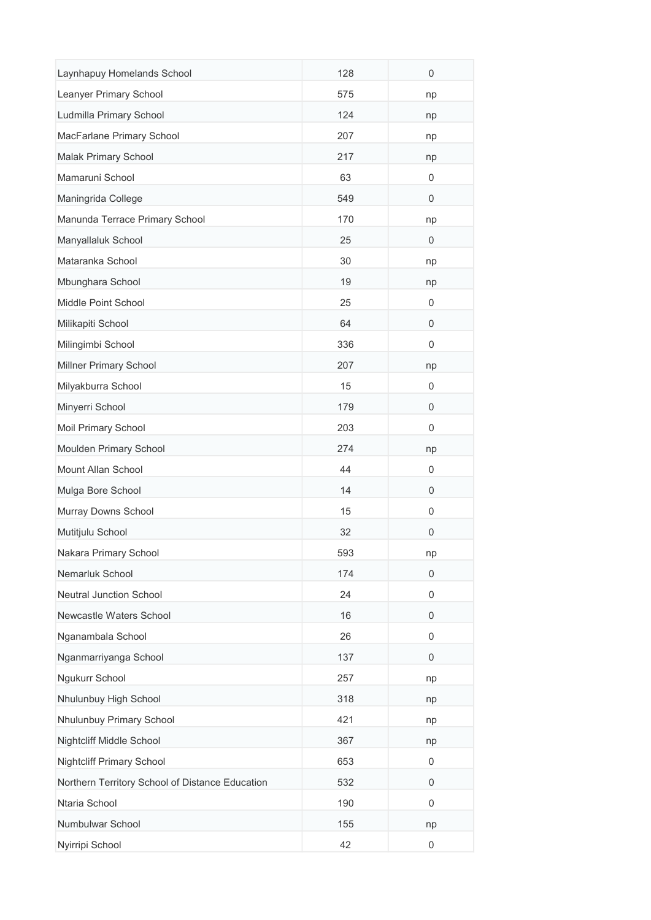| Laynhapuy Homelands School                      | 128 | $\mathbf 0$ |
|-------------------------------------------------|-----|-------------|
| Leanyer Primary School                          | 575 | np          |
| Ludmilla Primary School                         | 124 | np          |
| MacFarlane Primary School                       | 207 | np          |
| Malak Primary School                            | 217 | np          |
| Mamaruni School                                 | 63  | 0           |
| Maningrida College                              | 549 | 0           |
| Manunda Terrace Primary School                  | 170 | np          |
| Manyallaluk School                              | 25  | 0           |
| Mataranka School                                | 30  | np          |
| Mbunghara School                                | 19  | np          |
| Middle Point School                             | 25  | 0           |
| Milikapiti School                               | 64  | 0           |
| Milingimbi School                               | 336 | 0           |
| Millner Primary School                          | 207 | np          |
| Milyakburra School                              | 15  | 0           |
| Minyerri School                                 | 179 | 0           |
| Moil Primary School                             | 203 | 0           |
| Moulden Primary School                          | 274 | np          |
| Mount Allan School                              | 44  | 0           |
| Mulga Bore School                               | 14  | 0           |
| Murray Downs School                             | 15  | 0           |
| Mutitjulu School                                | 32  | 0           |
| Nakara Primary School                           | 593 | np          |
| Nemarluk School                                 | 174 | $\mathbf 0$ |
| <b>Neutral Junction School</b>                  | 24  | 0           |
| Newcastle Waters School                         | 16  | 0           |
| Nganambala School                               | 26  | 0           |
| Nganmarriyanga School                           | 137 | 0           |
| Ngukurr School                                  | 257 | np          |
| Nhulunbuy High School                           | 318 | np          |
| Nhulunbuy Primary School                        | 421 | np          |
| Nightcliff Middle School                        | 367 | np          |
| <b>Nightcliff Primary School</b>                | 653 | 0           |
| Northern Territory School of Distance Education | 532 | 0           |
| Ntaria School                                   | 190 | 0           |
| Numbulwar School                                | 155 | np          |
| Nyirripi School                                 | 42  | 0           |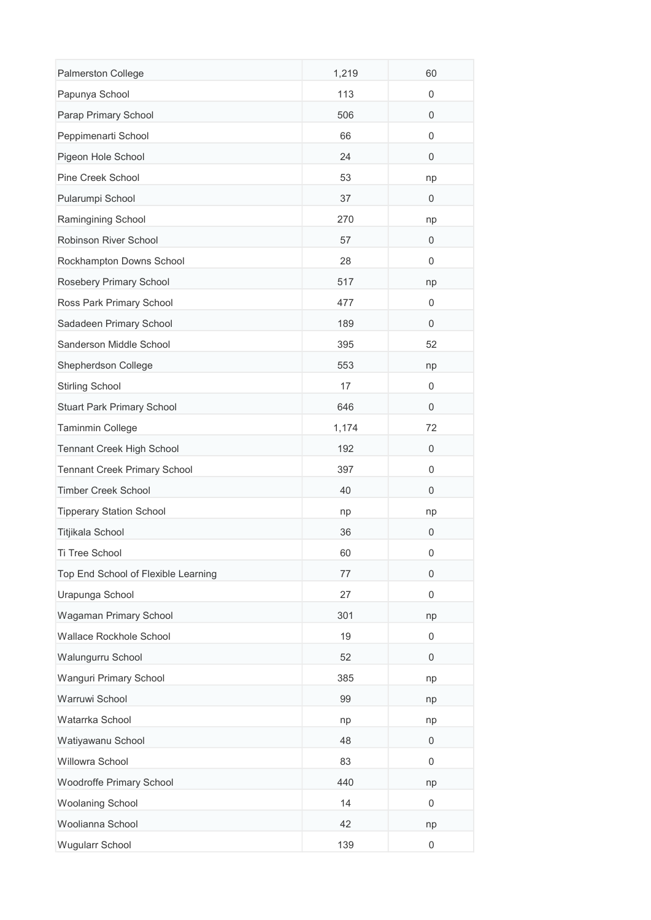| Palmerston College                  | 1,219 | 60               |
|-------------------------------------|-------|------------------|
| Papunya School                      | 113   | 0                |
| Parap Primary School                | 506   | $\mathbf 0$      |
| Peppimenarti School                 | 66    | $\mathbf 0$      |
| Pigeon Hole School                  | 24    | 0                |
| Pine Creek School                   | 53    | np               |
| Pularumpi School                    | 37    | 0                |
| Ramingining School                  | 270   | np               |
| Robinson River School               | 57    | 0                |
| Rockhampton Downs School            | 28    | 0                |
| Rosebery Primary School             | 517   | np               |
| Ross Park Primary School            | 477   | 0                |
| Sadadeen Primary School             | 189   | $\mathbf 0$      |
| Sanderson Middle School             | 395   | 52               |
| Shepherdson College                 | 553   | np               |
| <b>Stirling School</b>              | 17    | 0                |
| <b>Stuart Park Primary School</b>   | 646   | $\mathbf 0$      |
| Taminmin College                    | 1,174 | 72               |
| Tennant Creek High School           | 192   | 0                |
| <b>Tennant Creek Primary School</b> | 397   | 0                |
| <b>Timber Creek School</b>          | 40    | 0                |
| <b>Tipperary Station School</b>     | np    | np               |
| Titjikala School                    | 36    | 0                |
| Ti Tree School                      | 60    | O                |
| Top End School of Flexible Learning | 77    | $\mathbf 0$      |
| Urapunga School                     | 27    | $\mathbf 0$      |
| Wagaman Primary School              | 301   | np               |
| Wallace Rockhole School             | 19    | 0                |
| Walungurru School                   | 52    | $\mathbf 0$      |
| Wanguri Primary School              | 385   | np               |
| Warruwi School                      | 99    | np               |
| Watarrka School                     | np    | np               |
| Watiyawanu School                   | 48    | 0                |
| Willowra School                     | 83    | 0                |
| Woodroffe Primary School            | 440   | np               |
| <b>Woolaning School</b>             | 14    | $\mathbf 0$      |
| Woolianna School                    | 42    | np               |
| Wugularr School                     | 139   | $\boldsymbol{0}$ |